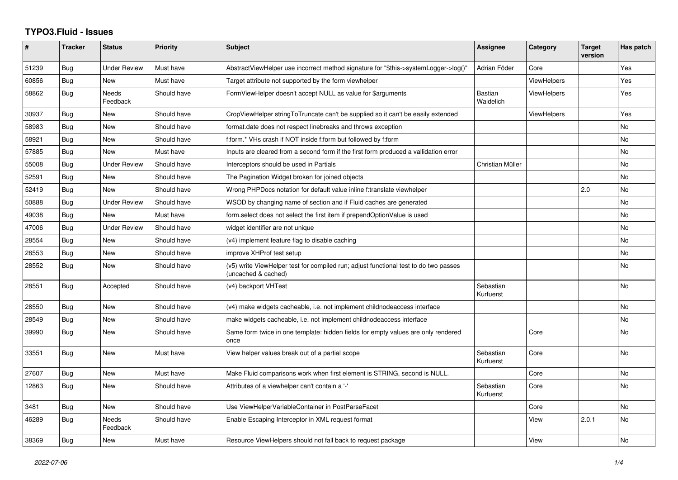## **TYPO3.Fluid - Issues**

| #     | <b>Tracker</b> | <b>Status</b>            | Priority    | Subject                                                                                                     | Assignee               | Category           | <b>Target</b><br>version | Has patch |
|-------|----------------|--------------------------|-------------|-------------------------------------------------------------------------------------------------------------|------------------------|--------------------|--------------------------|-----------|
| 51239 | Bug            | <b>Under Review</b>      | Must have   | AbstractViewHelper use incorrect method signature for "\$this->systemLogger->log()"                         | Adrian Föder           | Core               |                          | Yes       |
| 60856 | Bug            | <b>New</b>               | Must have   | Target attribute not supported by the form viewhelper                                                       |                        | <b>ViewHelpers</b> |                          | Yes       |
| 58862 | <b>Bug</b>     | <b>Needs</b><br>Feedback | Should have | FormViewHelper doesn't accept NULL as value for \$arguments                                                 | Bastian<br>Waidelich   | <b>ViewHelpers</b> |                          | Yes       |
| 30937 | <b>Bug</b>     | New                      | Should have | CropViewHelper stringToTruncate can't be supplied so it can't be easily extended                            |                        | <b>ViewHelpers</b> |                          | Yes       |
| 58983 | Bug            | <b>New</b>               | Should have | format.date does not respect linebreaks and throws exception                                                |                        |                    |                          | No        |
| 58921 | Bug            | New                      | Should have | f:form.* VHs crash if NOT inside f:form but followed by f:form                                              |                        |                    |                          | No        |
| 57885 | <b>Bug</b>     | <b>New</b>               | Must have   | Inputs are cleared from a second form if the first form produced a vallidation error                        |                        |                    |                          | No.       |
| 55008 | Bug            | <b>Under Review</b>      | Should have | Interceptors should be used in Partials                                                                     | Christian Müller       |                    |                          | No        |
| 52591 | <b>Bug</b>     | <b>New</b>               | Should have | The Pagination Widget broken for joined objects                                                             |                        |                    |                          | <b>No</b> |
| 52419 | Bug            | <b>New</b>               | Should have | Wrong PHPDocs notation for default value inline f:translate viewhelper                                      |                        |                    | 2.0                      | No        |
| 50888 | Bug            | <b>Under Review</b>      | Should have | WSOD by changing name of section and if Fluid caches are generated                                          |                        |                    |                          | No        |
| 49038 | <b>Bug</b>     | New                      | Must have   | form select does not select the first item if prependOptionValue is used                                    |                        |                    |                          | No        |
| 47006 | Bug            | <b>Under Review</b>      | Should have | widget identifier are not unique                                                                            |                        |                    |                          | No        |
| 28554 | Bug            | New                      | Should have | (v4) implement feature flag to disable caching                                                              |                        |                    |                          | No        |
| 28553 | Bug            | New                      | Should have | improve XHProf test setup                                                                                   |                        |                    |                          | No.       |
| 28552 | Bug            | New                      | Should have | (v5) write ViewHelper test for compiled run; adjust functional test to do two passes<br>(uncached & cached) |                        |                    |                          | No        |
| 28551 | Bug            | Accepted                 | Should have | (v4) backport VHTest                                                                                        | Sebastian<br>Kurfuerst |                    |                          | No        |
| 28550 | Bug            | <b>New</b>               | Should have | (v4) make widgets cacheable, i.e. not implement childnodeaccess interface                                   |                        |                    |                          | No        |
| 28549 | <b>Bug</b>     | <b>New</b>               | Should have | make widgets cacheable, i.e. not implement childnodeaccess interface                                        |                        |                    |                          | No        |
| 39990 | Bug            | New                      | Should have | Same form twice in one template: hidden fields for empty values are only rendered<br>once                   |                        | Core               |                          | No        |
| 33551 | Bug            | <b>New</b>               | Must have   | View helper values break out of a partial scope                                                             | Sebastian<br>Kurfuerst | Core               |                          | No        |
| 27607 | Bug            | <b>New</b>               | Must have   | Make Fluid comparisons work when first element is STRING, second is NULL.                                   |                        | Core               |                          | <b>No</b> |
| 12863 | Bug            | New                      | Should have | Attributes of a viewhelper can't contain a '-'                                                              | Sebastian<br>Kurfuerst | Core               |                          | No        |
| 3481  | Bug            | New                      | Should have | Use ViewHelperVariableContainer in PostParseFacet                                                           |                        | Core               |                          | No        |
| 46289 | Bug            | <b>Needs</b><br>Feedback | Should have | Enable Escaping Interceptor in XML request format                                                           |                        | View               | 2.0.1                    | <b>No</b> |
| 38369 | Bug            | <b>New</b>               | Must have   | Resource ViewHelpers should not fall back to request package                                                |                        | View               |                          | No        |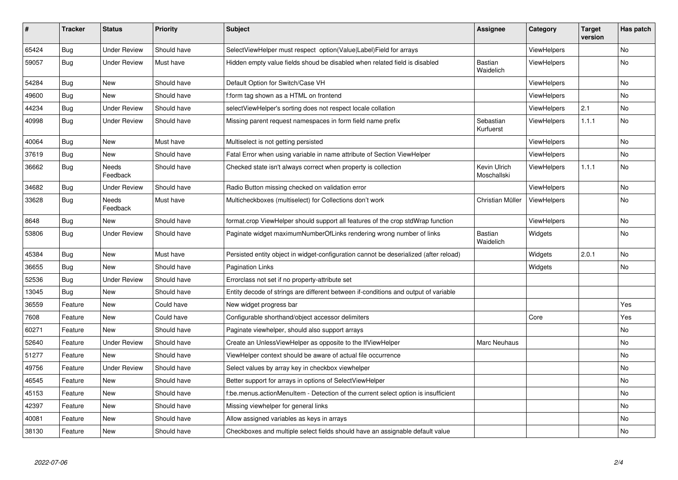| $\vert$ # | <b>Tracker</b> | <b>Status</b>       | <b>Priority</b> | <b>Subject</b>                                                                        | <b>Assignee</b>             | Category           | <b>Target</b><br>version | Has patch |
|-----------|----------------|---------------------|-----------------|---------------------------------------------------------------------------------------|-----------------------------|--------------------|--------------------------|-----------|
| 65424     | Bug            | <b>Under Review</b> | Should have     | SelectViewHelper must respect option(Value Label)Field for arrays                     |                             | ViewHelpers        |                          | <b>No</b> |
| 59057     | Bug            | Under Review        | Must have       | Hidden empty value fields shoud be disabled when related field is disabled            | Bastian<br>Waidelich        | <b>ViewHelpers</b> |                          | No.       |
| 54284     | <b>Bug</b>     | New                 | Should have     | Default Option for Switch/Case VH                                                     |                             | <b>ViewHelpers</b> |                          | <b>No</b> |
| 49600     | <b>Bug</b>     | New                 | Should have     | f:form tag shown as a HTML on frontend                                                |                             | ViewHelpers        |                          | No        |
| 44234     | <b>Bug</b>     | Under Review        | Should have     | selectViewHelper's sorting does not respect locale collation                          |                             | ViewHelpers        | 2.1                      | No        |
| 40998     | Bug            | <b>Under Review</b> | Should have     | Missing parent request namespaces in form field name prefix                           | Sebastian<br>Kurfuerst      | ViewHelpers        | 1.1.1                    | <b>No</b> |
| 40064     | <b>Bug</b>     | <b>New</b>          | Must have       | Multiselect is not getting persisted                                                  |                             | ViewHelpers        |                          | <b>No</b> |
| 37619     | Bug            | New                 | Should have     | Fatal Error when using variable in name attribute of Section ViewHelper               |                             | ViewHelpers        |                          | No        |
| 36662     | Bug            | Needs<br>Feedback   | Should have     | Checked state isn't always correct when property is collection                        | Kevin Ulrich<br>Moschallski | <b>ViewHelpers</b> | 1.1.1                    | <b>No</b> |
| 34682     | <b>Bug</b>     | <b>Under Review</b> | Should have     | Radio Button missing checked on validation error                                      |                             | <b>ViewHelpers</b> |                          | <b>No</b> |
| 33628     | Bug            | Needs<br>Feedback   | Must have       | Multicheckboxes (multiselect) for Collections don't work                              | Christian Müller            | ViewHelpers        |                          | No        |
| 8648      | Bug            | New                 | Should have     | format.crop ViewHelper should support all features of the crop stdWrap function       |                             | ViewHelpers        |                          | No        |
| 53806     | Bug            | <b>Under Review</b> | Should have     | Paginate widget maximumNumberOfLinks rendering wrong number of links                  | Bastian<br>Waidelich        | Widgets            |                          | <b>No</b> |
| 45384     | Bug            | New                 | Must have       | Persisted entity object in widget-configuration cannot be deserialized (after reload) |                             | Widgets            | 2.0.1                    | No        |
| 36655     | <b>Bug</b>     | New                 | Should have     | <b>Pagination Links</b>                                                               |                             | Widgets            |                          | <b>No</b> |
| 52536     | Bug            | Under Review        | Should have     | Errorclass not set if no property-attribute set                                       |                             |                    |                          |           |
| 13045     | Bug            | New                 | Should have     | Entity decode of strings are different between if-conditions and output of variable   |                             |                    |                          |           |
| 36559     | Feature        | New                 | Could have      | New widget progress bar                                                               |                             |                    |                          | Yes       |
| 7608      | Feature        | New                 | Could have      | Configurable shorthand/object accessor delimiters                                     |                             | Core               |                          | Yes       |
| 60271     | Feature        | <b>New</b>          | Should have     | Paginate viewhelper, should also support arrays                                       |                             |                    |                          | <b>No</b> |
| 52640     | Feature        | <b>Under Review</b> | Should have     | Create an UnlessViewHelper as opposite to the IfViewHelper                            | Marc Neuhaus                |                    |                          | <b>No</b> |
| 51277     | Feature        | <b>New</b>          | Should have     | ViewHelper context should be aware of actual file occurrence                          |                             |                    |                          | <b>No</b> |
| 49756     | Feature        | Under Review        | Should have     | Select values by array key in checkbox viewhelper                                     |                             |                    |                          | <b>No</b> |
| 46545     | Feature        | New                 | Should have     | Better support for arrays in options of SelectViewHelper                              |                             |                    |                          | No        |
| 45153     | Feature        | New                 | Should have     | f:be.menus.actionMenuItem - Detection of the current select option is insufficient    |                             |                    |                          | No        |
| 42397     | Feature        | <b>New</b>          | Should have     | Missing viewhelper for general links                                                  |                             |                    |                          | No        |
| 40081     | Feature        | New                 | Should have     | Allow assigned variables as keys in arrays                                            |                             |                    |                          | No        |
| 38130     | Feature        | <b>New</b>          | Should have     | Checkboxes and multiple select fields should have an assignable default value         |                             |                    |                          | No        |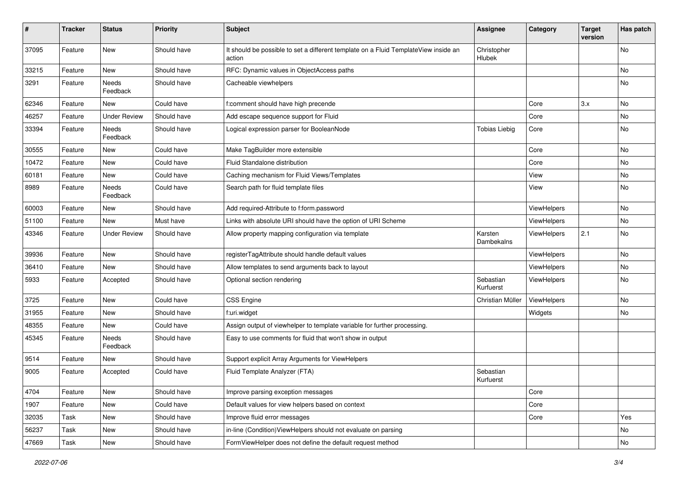| #     | <b>Tracker</b> | <b>Status</b>       | <b>Priority</b> | <b>Subject</b>                                                                                | <b>Assignee</b>        | Category    | <b>Target</b><br>version | Has patch |
|-------|----------------|---------------------|-----------------|-----------------------------------------------------------------------------------------------|------------------------|-------------|--------------------------|-----------|
| 37095 | Feature        | New                 | Should have     | It should be possible to set a different template on a Fluid TemplateView inside an<br>action | Christopher<br>Hlubek  |             |                          | <b>No</b> |
| 33215 | Feature        | New                 | Should have     | RFC: Dynamic values in ObjectAccess paths                                                     |                        |             |                          | No        |
| 3291  | Feature        | Needs<br>Feedback   | Should have     | Cacheable viewhelpers                                                                         |                        |             |                          | No        |
| 62346 | Feature        | <b>New</b>          | Could have      | f:comment should have high precende                                                           |                        | Core        | 3.x                      | <b>No</b> |
| 46257 | Feature        | <b>Under Review</b> | Should have     | Add escape sequence support for Fluid                                                         |                        | Core        |                          | No        |
| 33394 | Feature        | Needs<br>Feedback   | Should have     | Logical expression parser for BooleanNode                                                     | <b>Tobias Liebig</b>   | Core        |                          | No        |
| 30555 | Feature        | New                 | Could have      | Make TagBuilder more extensible                                                               |                        | Core        |                          | No        |
| 10472 | Feature        | New                 | Could have      | Fluid Standalone distribution                                                                 |                        | Core        |                          | No        |
| 60181 | Feature        | New                 | Could have      | Caching mechanism for Fluid Views/Templates                                                   |                        | View        |                          | No        |
| 8989  | Feature        | Needs<br>Feedback   | Could have      | Search path for fluid template files                                                          |                        | View        |                          | No        |
| 60003 | Feature        | New                 | Should have     | Add required-Attribute to f:form.password                                                     |                        | ViewHelpers |                          | No        |
| 51100 | Feature        | New                 | Must have       | Links with absolute URI should have the option of URI Scheme                                  |                        | ViewHelpers |                          | No        |
| 43346 | Feature        | <b>Under Review</b> | Should have     | Allow property mapping configuration via template                                             | Karsten<br>Dambekalns  | ViewHelpers | 2.1                      | No        |
| 39936 | Feature        | New                 | Should have     | registerTagAttribute should handle default values                                             |                        | ViewHelpers |                          | No        |
| 36410 | Feature        | New                 | Should have     | Allow templates to send arguments back to layout                                              |                        | ViewHelpers |                          | No        |
| 5933  | Feature        | Accepted            | Should have     | Optional section rendering                                                                    | Sebastian<br>Kurfuerst | ViewHelpers |                          | No        |
| 3725  | Feature        | New                 | Could have      | <b>CSS Engine</b>                                                                             | Christian Müller       | ViewHelpers |                          | No        |
| 31955 | Feature        | New                 | Should have     | f:uri.widget                                                                                  |                        | Widgets     |                          | No        |
| 48355 | Feature        | New                 | Could have      | Assign output of viewhelper to template variable for further processing.                      |                        |             |                          |           |
| 45345 | Feature        | Needs<br>Feedback   | Should have     | Easy to use comments for fluid that won't show in output                                      |                        |             |                          |           |
| 9514  | Feature        | New                 | Should have     | Support explicit Array Arguments for ViewHelpers                                              |                        |             |                          |           |
| 9005  | Feature        | Accepted            | Could have      | Fluid Template Analyzer (FTA)                                                                 | Sebastian<br>Kurfuerst |             |                          |           |
| 4704  | Feature        | New                 | Should have     | Improve parsing exception messages                                                            |                        | Core        |                          |           |
| 1907  | Feature        | New                 | Could have      | Default values for view helpers based on context                                              |                        | Core        |                          |           |
| 32035 | Task           | New                 | Should have     | Improve fluid error messages                                                                  |                        | Core        |                          | Yes       |
| 56237 | Task           | New                 | Should have     | in-line (Condition) ViewHelpers should not evaluate on parsing                                |                        |             |                          | No        |
| 47669 | Task           | New                 | Should have     | FormViewHelper does not define the default request method                                     |                        |             |                          | No        |